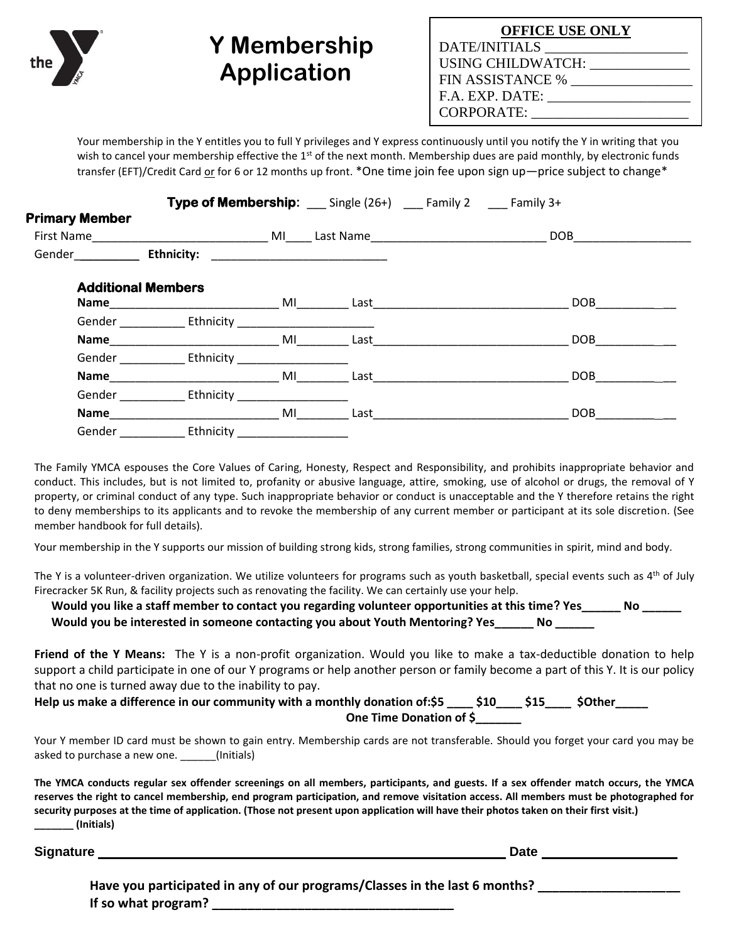## **Y Membership Application**

| <b>OFFICE USE ONLY</b> |  |  |  |  |
|------------------------|--|--|--|--|
| DATE/INITIALS          |  |  |  |  |
| USING CHILDWATCH:      |  |  |  |  |
| FIN ASSISTANCE %       |  |  |  |  |
| F.A. EXP. DATE:        |  |  |  |  |
| <b>CORPORATE:</b>      |  |  |  |  |

Your membership in the Y entitles you to full Y privileges and Y express continuously until you notify the Y in writing that you wish to cancel your membership effective the  $1<sup>st</sup>$  of the next month. Membership dues are paid monthly, by electronic funds transfer (EFT)/Credit Card or for 6 or 12 months up front. \*One time join fee upon sign up—price subject to change\*

|                       |                                                                                                                       | Type of Membership: __ Single (26+) __ Family 2 __ Family 3+ |                                                      |                                                                           |
|-----------------------|-----------------------------------------------------------------------------------------------------------------------|--------------------------------------------------------------|------------------------------------------------------|---------------------------------------------------------------------------|
| <b>Primary Member</b> |                                                                                                                       |                                                              |                                                      |                                                                           |
| First Name            | <b>Example 2018 Manual Manual Millet Design Control Design Control Design Control Design Control Design Control D</b> |                                                              |                                                      | <b>DOB</b>                                                                |
| Gender                | <b>Ethnicity:</b>                                                                                                     |                                                              | <u> 1980 - Jan Barnett, fransk politik (d. 1980)</u> |                                                                           |
|                       | <b>Additional Members</b><br>Name ___________________                                                                 | MI                                                           |                                                      | <b>DOB</b><br>Last <u>the community of the community of the community</u> |
|                       | Gender Ethnicity                                                                                                      |                                                              |                                                      |                                                                           |
|                       | Name and the state of the state of the state of the state of the state of the state of the state of the state         | MI                                                           | Last                                                 | <b>DOB</b>                                                                |
|                       | Gender Ethnicity                                                                                                      |                                                              |                                                      |                                                                           |
| Name                  |                                                                                                                       | MI                                                           | Last                                                 | DOB                                                                       |
| Gender                | Ethnicity                                                                                                             |                                                              |                                                      |                                                                           |
| Name                  |                                                                                                                       | MI                                                           | Last                                                 | <b>DOB</b>                                                                |
| Gender                | Ethnicity                                                                                                             |                                                              |                                                      |                                                                           |

The Family YMCA espouses the Core Values of Caring, Honesty, Respect and Responsibility, and prohibits inappropriate behavior and conduct. This includes, but is not limited to, profanity or abusive language, attire, smoking, use of alcohol or drugs, the removal of Y property, or criminal conduct of any type. Such inappropriate behavior or conduct is unacceptable and the Y therefore retains the right to deny memberships to its applicants and to revoke the membership of any current member or participant at its sole discretion. (See member handbook for full details).

Your membership in the Y supports our mission of building strong kids, strong families, strong communities in spirit, mind and body.

The Y is a volunteer-driven organization. We utilize volunteers for programs such as youth basketball, special events such as  $4<sup>th</sup>$  of July Firecracker 5K Run, & facility projects such as renovating the facility. We can certainly use your help.

**Would you like a staff member to contact you regarding volunteer opportunities at this time? Yes\_\_\_\_\_\_ No \_\_\_\_\_\_ Would you be interested in someone contacting you about Youth Mentoring? Yes\_\_\_\_\_\_ No \_\_\_\_\_\_**

**Friend of the Y Means:** The Y is a non-profit organization. Would you like to make a tax-deductible donation to help support a child participate in one of our Y programs or help another person or family become a part of this Y. It is our policy that no one is turned away due to the inability to pay.

**Help us make a difference in our community with a monthly donation of:\$5 \_\_\_\_ \$10\_\_\_\_ \$15\_\_\_\_ \$Other\_\_\_\_\_ One Time Donation of \$\_\_\_\_\_\_\_**

Your Y member ID card must be shown to gain entry. Membership cards are not transferable. Should you forget your card you may be asked to purchase a new one. \_\_\_\_\_\_(Initials)

**The YMCA conducts regular sex offender screenings on all members, participants, and guests. If a sex offender match occurs, the YMCA reserves the right to cancel membership, end program participation, and remove visitation access. All members must be photographed for security purposes at the time of application. (Those not present upon application will have their photos taken on their first visit.) \_\_\_\_\_\_\_ (Initials)**

**Signature Date**

| Have you participated in any of our programs/Classes in the last 6 months? |  |
|----------------------------------------------------------------------------|--|
| If so what program?                                                        |  |